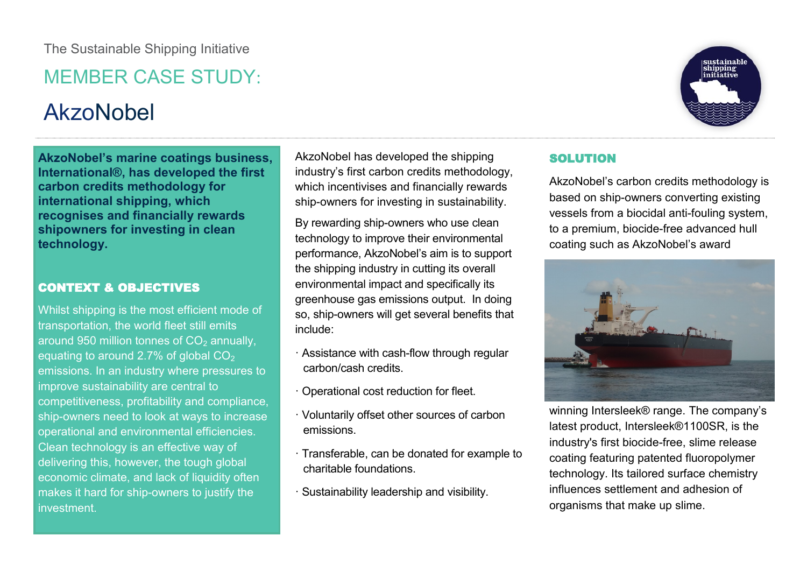## MEMBER CASE STUDY:

# AkzoNobel

**AkzoNobel's marine coatings business, International®, has developed the first carbon credits methodology for international shipping, which recognises and financially rewards shipowners for investing in clean technology.**

## CONTEXT & OBJECTIVES

Whilst shipping is the most efficient mode of transportation, the world fleet still emits around 950 million tonnes of  $CO<sub>2</sub>$  annually, equating to around 2.7% of global  $CO<sub>2</sub>$ emissions. In an industry where pressures to improve sustainability are central to competitiveness, profitability and compliance, ship-owners need to look at ways to increase operational and environmental efficiencies. Clean technology is an effective way of delivering this, however, the tough global economic climate, and lack of liquidity often makes it hard for ship-owners to justify the investment.

AkzoNobel has developed the shipping industry's first carbon credits methodology, which incentivises and financially rewards ship-owners for investing in sustainability.

By rewarding ship-owners who use clean technology to improve their environmental performance, AkzoNobel's aim is to support the shipping industry in cutting its overall environmental impact and specifically its greenhouse gas emissions output. In doing so, ship-owners will get several benefits that include:

- · Assistance with cash-flow through regular carbon/cash credits.
- · Operational cost reduction for fleet.
- · Voluntarily offset other sources of carbon emissions.
- · Transferable, can be donated for example to charitable foundations.
- · Sustainability leadership and visibility.



sustainable<br>shipping<br>initiative

### SOLUTION

AkzoNobel's carbon credits methodology is based on ship-owners converting existing vessels from a biocidal anti-fouling system, to a premium, biocide-free advanced hull coating such as AkzoNobel's award



winning Intersleek® range. The company's latest product, Intersleek®1100SR, is the industry's first biocide-free, slime release coating featuring patented fluoropolymer technology. Its tailored surface chemistry influences settlement and adhesion of organisms that make up slime.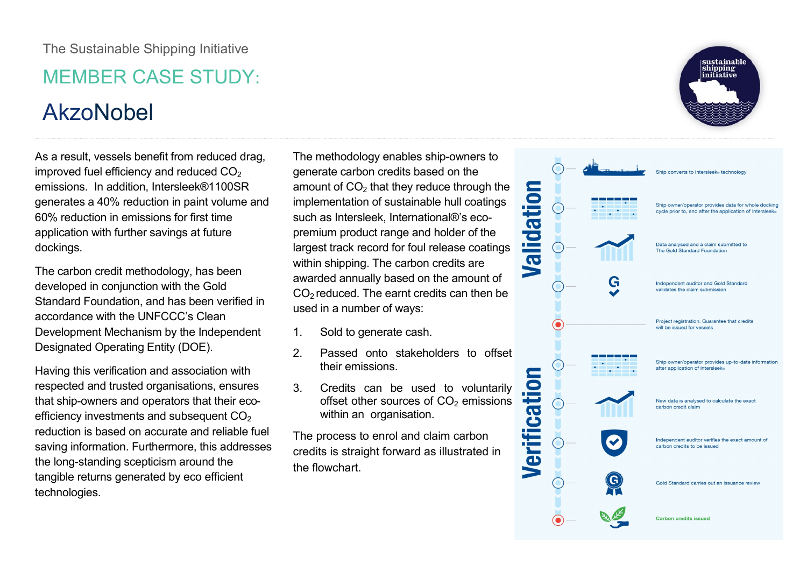# MEMBER CASE STUDY:

# AkzoNobel

As a result, vessels benefit from reduced drag, improved fuel efficiency and reduced  $CO<sub>2</sub>$ emissions. In addition, Intersleek®1100SR generates a 40% reduction in paint volume and 60% reduction in emissions for first time application with further savings at future dockings.

The carbon credit methodology, has been developed in conjunction with the Gold Standard Foundation, and has been verified in accordance with the UNFCCC's Clean Development Mechanism by the Independent Designated Operating Entity (DOE).

Having this verification and association with respected and trusted organisations, ensures that ship-owners and operators that their ecoefficiency investments and subsequent  $CO<sub>2</sub>$ reduction is based on accurate and reliable fuel saving information. Furthermore, this addresses the long-standing scepticism around the tangible returns generated by eco efficient technologies.

The methodology enables ship-owners to generate carbon credits based on the amount of  $CO<sub>2</sub>$  that they reduce through the implementation of sustainable hull coatings such as Intersleek, International®'s ecopremium product range and holder of the largest track record for foul release coatings within shipping. The carbon credits are awarded annually based on the amount of  $CO<sub>2</sub>$  reduced. The earnt credits can then be used in a number of ways:

- 1. Sold to generate cash.
- 2. Passed onto stakeholders to offset their emissions.
- 3. Credits can be used to voluntarily offset other sources of  $CO<sub>2</sub>$  emissions within an organisation.

The process to enrol and claim carbon credits is straight forward as illustrated in the flowchart.